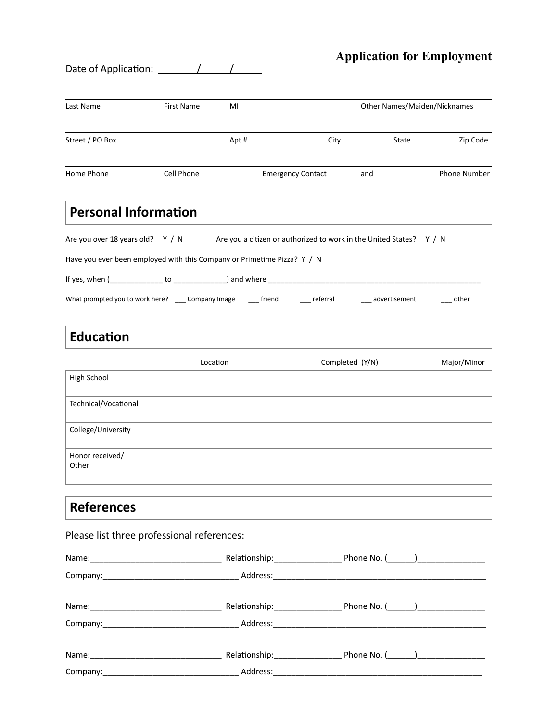## **Application for Employment**

Date of Application:  $\frac{\sqrt{1-\frac{1}{2}}}{\sqrt{1-\frac{1}{2}}}$ 

| Last Name                                                                                                                                                                                                                      | First Name | MI       |                          | Other Names/Maiden/Nicknames                                        |                     |  |
|--------------------------------------------------------------------------------------------------------------------------------------------------------------------------------------------------------------------------------|------------|----------|--------------------------|---------------------------------------------------------------------|---------------------|--|
| Street / PO Box                                                                                                                                                                                                                |            | Apt#     | City                     | State                                                               | Zip Code            |  |
| Home Phone                                                                                                                                                                                                                     | Cell Phone |          | <b>Emergency Contact</b> | and                                                                 | <b>Phone Number</b> |  |
| <b>Personal Information</b>                                                                                                                                                                                                    |            |          |                          |                                                                     |                     |  |
| Are you over 18 years old? Y / N                                                                                                                                                                                               |            |          |                          | Are you a citizen or authorized to work in the United States? Y / N |                     |  |
| Have you ever been employed with this Company or Primetime Pizza? Y / N                                                                                                                                                        |            |          |                          |                                                                     |                     |  |
|                                                                                                                                                                                                                                |            |          |                          |                                                                     |                     |  |
| What prompted you to work here? ____ Company Image _____ friend _____ referral _____ advertisement                                                                                                                             |            |          |                          |                                                                     | $\_\_$ other        |  |
| <b>Education</b>                                                                                                                                                                                                               |            |          |                          |                                                                     |                     |  |
|                                                                                                                                                                                                                                |            | Location |                          | Completed (Y/N)                                                     | Major/Minor         |  |
| High School                                                                                                                                                                                                                    |            |          |                          |                                                                     |                     |  |
| Technical/Vocational                                                                                                                                                                                                           |            |          |                          |                                                                     |                     |  |
| College/University                                                                                                                                                                                                             |            |          |                          |                                                                     |                     |  |
| Honor received/<br>Other                                                                                                                                                                                                       |            |          |                          |                                                                     |                     |  |
| <b>References</b>                                                                                                                                                                                                              |            |          |                          |                                                                     |                     |  |
| Please list three professional references:                                                                                                                                                                                     |            |          |                          |                                                                     |                     |  |
|                                                                                                                                                                                                                                |            |          |                          |                                                                     |                     |  |
|                                                                                                                                                                                                                                |            |          |                          |                                                                     |                     |  |
| Name: 1990 11 2000 11 2000 11 2000 12:00 12:00 12:00 12:00 12:00 12:00 12:00 12:00 12:00 12:00 12:00 12:00 12:00 12:00 12:00 12:00 12:00 12:00 12:00 12:00 12:00 12:00 12:00 12:00 12:00 12:00 12:00 12:00 12:00 12:00 12:00 1 |            |          |                          |                                                                     |                     |  |
|                                                                                                                                                                                                                                |            |          |                          |                                                                     |                     |  |
|                                                                                                                                                                                                                                |            |          |                          |                                                                     |                     |  |

Company:\_\_\_\_\_\_\_\_\_\_\_\_\_\_\_\_\_\_\_\_\_\_\_\_\_\_\_\_\_\_ Address:\_\_\_\_\_\_\_\_\_\_\_\_\_\_\_\_\_\_\_\_\_\_\_\_\_\_\_\_\_\_\_\_\_\_\_\_\_\_\_\_\_\_\_\_\_\_